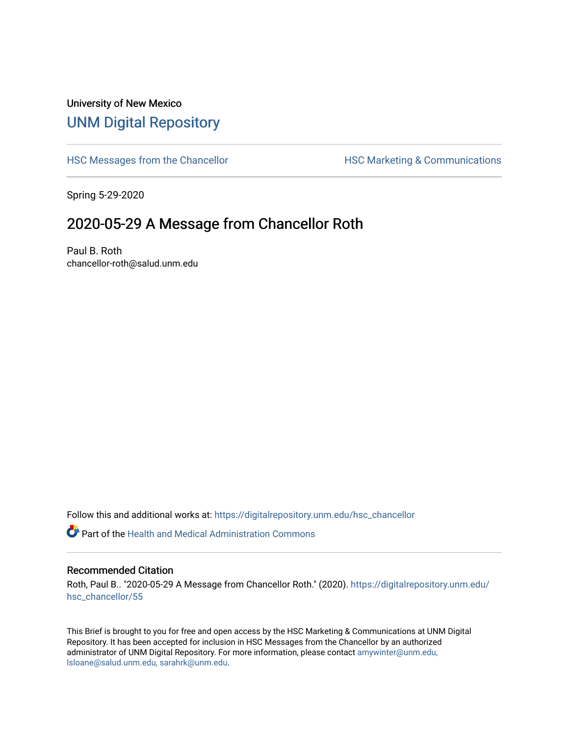## University of New Mexico [UNM Digital Repository](https://digitalrepository.unm.edu/)

[HSC Messages from the Chancellor](https://digitalrepository.unm.edu/hsc_chancellor) **HSC Marketing & Communications** 

Spring 5-29-2020

## 2020-05-29 A Message from Chancellor Roth

Paul B. Roth chancellor-roth@salud.unm.edu

Follow this and additional works at: [https://digitalrepository.unm.edu/hsc\\_chancellor](https://digitalrepository.unm.edu/hsc_chancellor?utm_source=digitalrepository.unm.edu%2Fhsc_chancellor%2F55&utm_medium=PDF&utm_campaign=PDFCoverPages) 

 $\bullet$  Part of the [Health and Medical Administration Commons](http://network.bepress.com/hgg/discipline/663?utm_source=digitalrepository.unm.edu%2Fhsc_chancellor%2F55&utm_medium=PDF&utm_campaign=PDFCoverPages)

## Recommended Citation

Roth, Paul B.. "2020-05-29 A Message from Chancellor Roth." (2020). [https://digitalrepository.unm.edu/](https://digitalrepository.unm.edu/hsc_chancellor/55?utm_source=digitalrepository.unm.edu%2Fhsc_chancellor%2F55&utm_medium=PDF&utm_campaign=PDFCoverPages) [hsc\\_chancellor/55](https://digitalrepository.unm.edu/hsc_chancellor/55?utm_source=digitalrepository.unm.edu%2Fhsc_chancellor%2F55&utm_medium=PDF&utm_campaign=PDFCoverPages) 

This Brief is brought to you for free and open access by the HSC Marketing & Communications at UNM Digital Repository. It has been accepted for inclusion in HSC Messages from the Chancellor by an authorized administrator of UNM Digital Repository. For more information, please contact [amywinter@unm.edu,](mailto:amywinter@unm.edu,%20lsloane@salud.unm.edu,%20sarahrk@unm.edu) [lsloane@salud.unm.edu, sarahrk@unm.edu.](mailto:amywinter@unm.edu,%20lsloane@salud.unm.edu,%20sarahrk@unm.edu)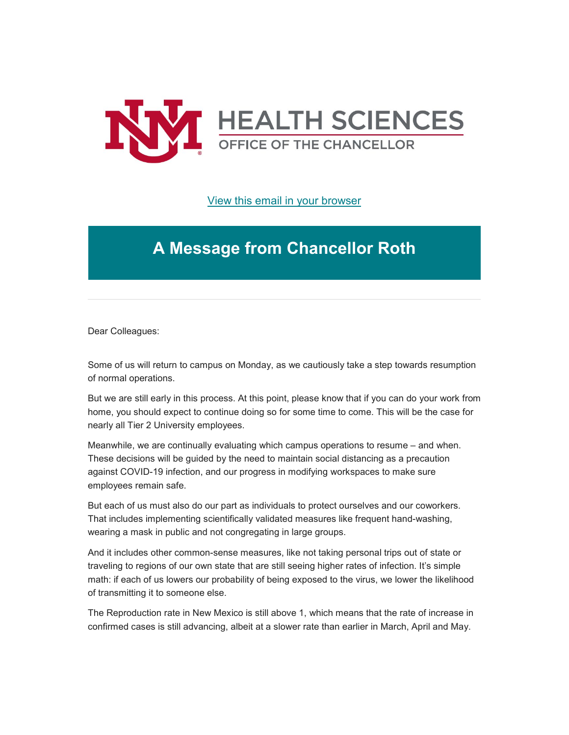

[View this email in your browser](https://mailchi.mp/cc8605d6bd48/message-from-the-chancellor-coronavirus-4425856?e=b4bbfca2c0)

## **A Message from Chancellor Roth**

Dear Colleagues:

Some of us will return to campus on Monday, as we cautiously take a step towards resumption of normal operations.

But we are still early in this process. At this point, please know that if you can do your work from home, you should expect to continue doing so for some time to come. This will be the case for nearly all Tier 2 University employees.

Meanwhile, we are continually evaluating which campus operations to resume – and when. These decisions will be guided by the need to maintain social distancing as a precaution against COVID-19 infection, and our progress in modifying workspaces to make sure employees remain safe.

But each of us must also do our part as individuals to protect ourselves and our coworkers. That includes implementing scientifically validated measures like frequent hand-washing, wearing a mask in public and not congregating in large groups.

And it includes other common-sense measures, like not taking personal trips out of state or traveling to regions of our own state that are still seeing higher rates of infection. It's simple math: if each of us lowers our probability of being exposed to the virus, we lower the likelihood of transmitting it to someone else.

The Reproduction rate in New Mexico is still above 1, which means that the rate of increase in confirmed cases is still advancing, albeit at a slower rate than earlier in March, April and May.